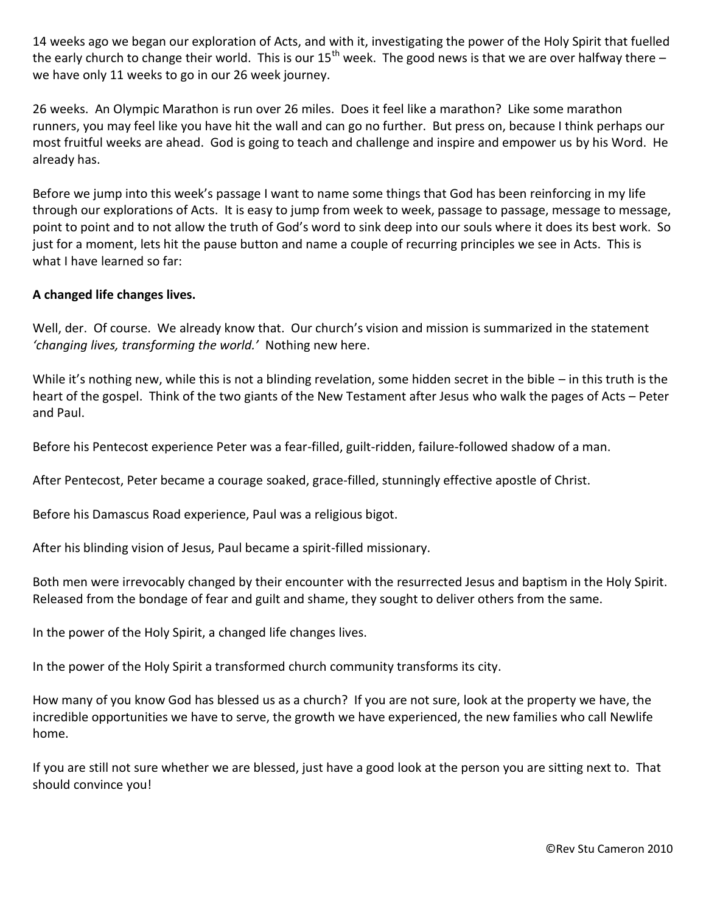14 weeks ago we began our exploration of Acts, and with it, investigating the power of the Holy Spirit that fuelled the early church to change their world. This is our 15<sup>th</sup> week. The good news is that we are over halfway there  $$ we have only 11 weeks to go in our 26 week journey.

26 weeks. An Olympic Marathon is run over 26 miles. Does it feel like a marathon? Like some marathon runners, you may feel like you have hit the wall and can go no further. But press on, because I think perhaps our most fruitful weeks are ahead. God is going to teach and challenge and inspire and empower us by his Word. He already has.

Before we jump into this week's passage I want to name some things that God has been reinforcing in my life through our explorations of Acts. It is easy to jump from week to week, passage to passage, message to message, point to point and to not allow the truth of God's word to sink deep into our souls where it does its best work. So just for a moment, lets hit the pause button and name a couple of recurring principles we see in Acts. This is what I have learned so far:

# **A changed life changes lives.**

Well, der. Of course. We already know that. Our church's vision and mission is summarized in the statement *'changing lives, transforming the world.'* Nothing new here.

While it's nothing new, while this is not a blinding revelation, some hidden secret in the bible – in this truth is the heart of the gospel. Think of the two giants of the New Testament after Jesus who walk the pages of Acts – Peter and Paul.

Before his Pentecost experience Peter was a fear-filled, guilt-ridden, failure-followed shadow of a man.

After Pentecost, Peter became a courage soaked, grace-filled, stunningly effective apostle of Christ.

Before his Damascus Road experience, Paul was a religious bigot.

After his blinding vision of Jesus, Paul became a spirit-filled missionary.

Both men were irrevocably changed by their encounter with the resurrected Jesus and baptism in the Holy Spirit. Released from the bondage of fear and guilt and shame, they sought to deliver others from the same.

In the power of the Holy Spirit, a changed life changes lives.

In the power of the Holy Spirit a transformed church community transforms its city.

How many of you know God has blessed us as a church? If you are not sure, look at the property we have, the incredible opportunities we have to serve, the growth we have experienced, the new families who call Newlife home.

If you are still not sure whether we are blessed, just have a good look at the person you are sitting next to. That should convince you!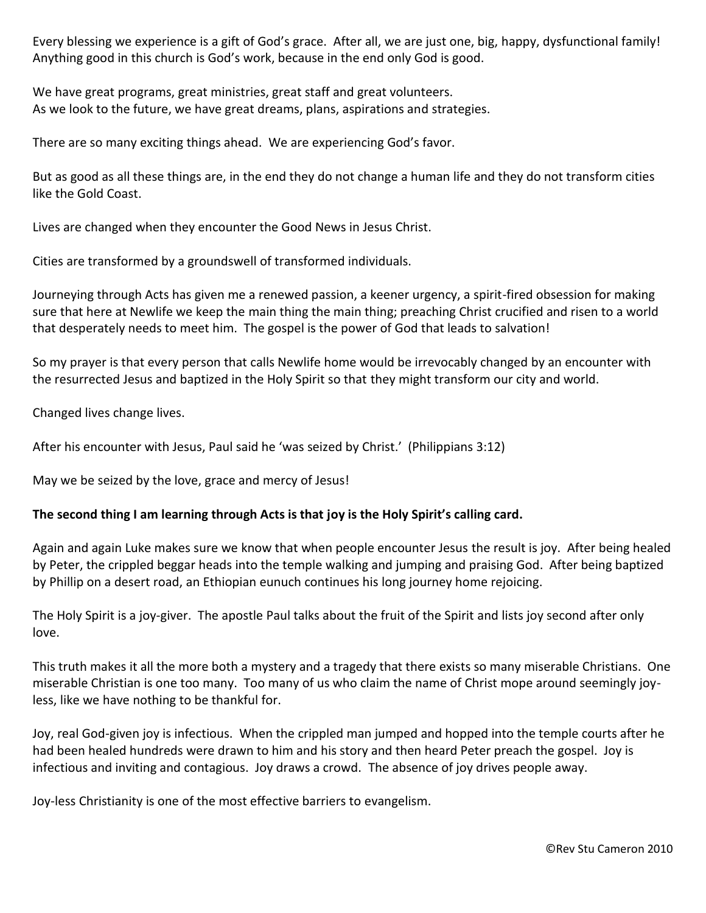Every blessing we experience is a gift of God's grace. After all, we are just one, big, happy, dysfunctional family! Anything good in this church is God's work, because in the end only God is good.

We have great programs, great ministries, great staff and great volunteers. As we look to the future, we have great dreams, plans, aspirations and strategies.

There are so many exciting things ahead. We are experiencing God's favor.

But as good as all these things are, in the end they do not change a human life and they do not transform cities like the Gold Coast.

Lives are changed when they encounter the Good News in Jesus Christ.

Cities are transformed by a groundswell of transformed individuals.

Journeying through Acts has given me a renewed passion, a keener urgency, a spirit-fired obsession for making sure that here at Newlife we keep the main thing the main thing; preaching Christ crucified and risen to a world that desperately needs to meet him. The gospel is the power of God that leads to salvation!

So my prayer is that every person that calls Newlife home would be irrevocably changed by an encounter with the resurrected Jesus and baptized in the Holy Spirit so that they might transform our city and world.

Changed lives change lives.

After his encounter with Jesus, Paul said he 'was seized by Christ.' (Philippians 3:12)

May we be seized by the love, grace and mercy of Jesus!

# **The second thing I am learning through Acts is that joy is the Holy Spirit's calling card.**

Again and again Luke makes sure we know that when people encounter Jesus the result is joy. After being healed by Peter, the crippled beggar heads into the temple walking and jumping and praising God. After being baptized by Phillip on a desert road, an Ethiopian eunuch continues his long journey home rejoicing.

The Holy Spirit is a joy-giver. The apostle Paul talks about the fruit of the Spirit and lists joy second after only love.

This truth makes it all the more both a mystery and a tragedy that there exists so many miserable Christians. One miserable Christian is one too many. Too many of us who claim the name of Christ mope around seemingly joyless, like we have nothing to be thankful for.

Joy, real God-given joy is infectious. When the crippled man jumped and hopped into the temple courts after he had been healed hundreds were drawn to him and his story and then heard Peter preach the gospel. Joy is infectious and inviting and contagious. Joy draws a crowd. The absence of joy drives people away.

Joy-less Christianity is one of the most effective barriers to evangelism.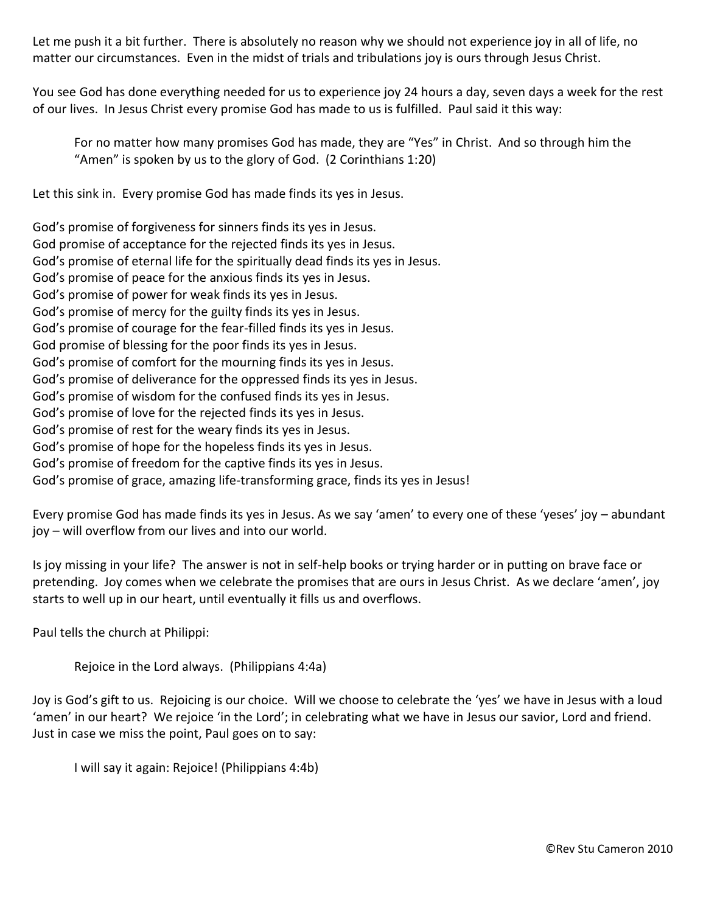Let me push it a bit further. There is absolutely no reason why we should not experience joy in all of life, no matter our circumstances. Even in the midst of trials and tribulations joy is ours through Jesus Christ.

You see God has done everything needed for us to experience joy 24 hours a day, seven days a week for the rest of our lives. In Jesus Christ every promise God has made to us is fulfilled. Paul said it this way:

For no matter how many promises God has made, they are "Yes" in Christ. And so through him the "Amen" is spoken by us to the glory of God. (2 Corinthians 1:20)

Let this sink in. Every promise God has made finds its yes in Jesus.

God's promise of forgiveness for sinners finds its yes in Jesus. God promise of acceptance for the rejected finds its yes in Jesus. God's promise of eternal life for the spiritually dead finds its yes in Jesus. God's promise of peace for the anxious finds its yes in Jesus. God's promise of power for weak finds its yes in Jesus. God's promise of mercy for the guilty finds its yes in Jesus. God's promise of courage for the fear-filled finds its yes in Jesus. God promise of blessing for the poor finds its yes in Jesus. God's promise of comfort for the mourning finds its yes in Jesus. God's promise of deliverance for the oppressed finds its yes in Jesus. God's promise of wisdom for the confused finds its yes in Jesus. God's promise of love for the rejected finds its yes in Jesus. God's promise of rest for the weary finds its yes in Jesus. God's promise of hope for the hopeless finds its yes in Jesus. God's promise of freedom for the captive finds its yes in Jesus. God's promise of grace, amazing life-transforming grace, finds its yes in Jesus!

Every promise God has made finds its yes in Jesus. As we say 'amen' to every one of these 'yeses' joy – abundant joy – will overflow from our lives and into our world.

Is joy missing in your life? The answer is not in self-help books or trying harder or in putting on brave face or pretending. Joy comes when we celebrate the promises that are ours in Jesus Christ. As we declare 'amen', joy starts to well up in our heart, until eventually it fills us and overflows.

Paul tells the church at Philippi:

Rejoice in the Lord always. (Philippians 4:4a)

Joy is God's gift to us. Rejoicing is our choice. Will we choose to celebrate the 'yes' we have in Jesus with a loud 'amen' in our heart? We rejoice 'in the Lord'; in celebrating what we have in Jesus our savior, Lord and friend. Just in case we miss the point, Paul goes on to say:

I will say it again: Rejoice! (Philippians 4:4b)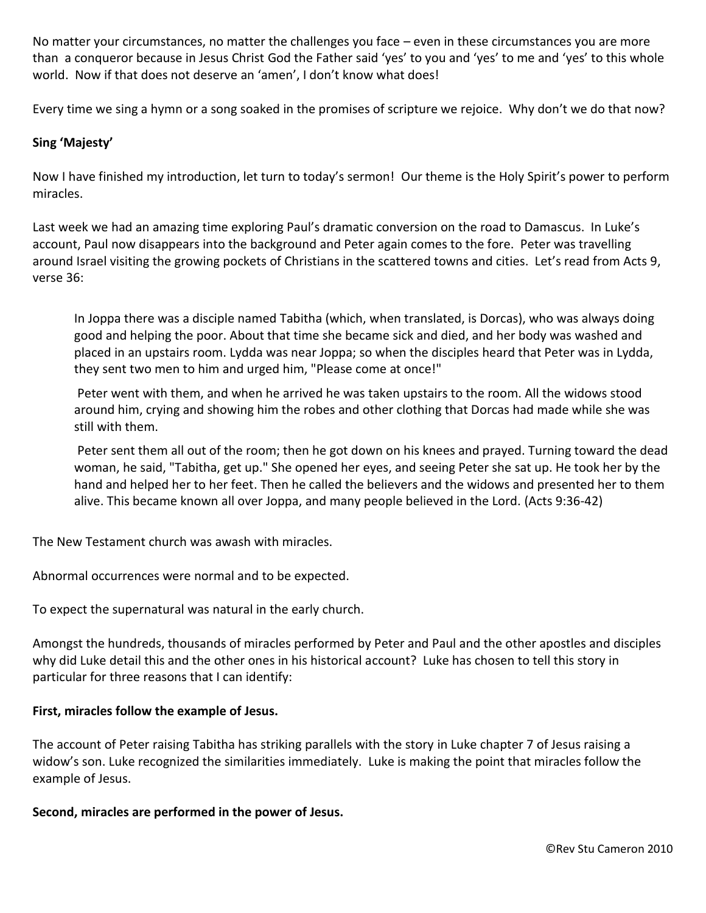No matter your circumstances, no matter the challenges you face – even in these circumstances you are more than a conqueror because in Jesus Christ God the Father said 'yes' to you and 'yes' to me and 'yes' to this whole world. Now if that does not deserve an 'amen', I don't know what does!

Every time we sing a hymn or a song soaked in the promises of scripture we rejoice. Why don't we do that now?

## **Sing 'Majesty'**

Now I have finished my introduction, let turn to today's sermon! Our theme is the Holy Spirit's power to perform miracles.

Last week we had an amazing time exploring Paul's dramatic conversion on the road to Damascus. In Luke's account, Paul now disappears into the background and Peter again comes to the fore. Peter was travelling around Israel visiting the growing pockets of Christians in the scattered towns and cities. Let's read from Acts 9, verse 36:

In Joppa there was a disciple named Tabitha (which, when translated, is Dorcas), who was always doing good and helping the poor. About that time she became sick and died, and her body was washed and placed in an upstairs room. Lydda was near Joppa; so when the disciples heard that Peter was in Lydda, they sent two men to him and urged him, "Please come at once!"

Peter went with them, and when he arrived he was taken upstairs to the room. All the widows stood around him, crying and showing him the robes and other clothing that Dorcas had made while she was still with them.

Peter sent them all out of the room; then he got down on his knees and prayed. Turning toward the dead woman, he said, "Tabitha, get up." She opened her eyes, and seeing Peter she sat up. He took her by the hand and helped her to her feet. Then he called the believers and the widows and presented her to them alive. This became known all over Joppa, and many people believed in the Lord. (Acts 9:36-42)

The New Testament church was awash with miracles.

Abnormal occurrences were normal and to be expected.

To expect the supernatural was natural in the early church.

Amongst the hundreds, thousands of miracles performed by Peter and Paul and the other apostles and disciples why did Luke detail this and the other ones in his historical account? Luke has chosen to tell this story in particular for three reasons that I can identify:

#### **First, miracles follow the example of Jesus.**

The account of Peter raising Tabitha has striking parallels with the story in Luke chapter 7 of Jesus raising a widow's son. Luke recognized the similarities immediately. Luke is making the point that miracles follow the example of Jesus.

#### **Second, miracles are performed in the power of Jesus.**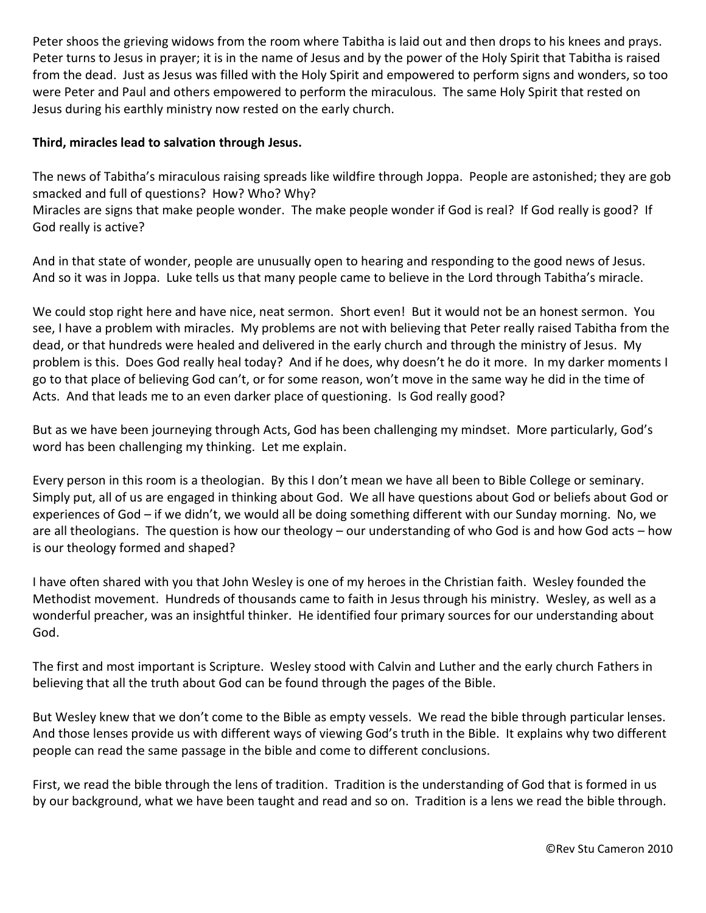Peter shoos the grieving widows from the room where Tabitha is laid out and then drops to his knees and prays. Peter turns to Jesus in prayer; it is in the name of Jesus and by the power of the Holy Spirit that Tabitha is raised from the dead. Just as Jesus was filled with the Holy Spirit and empowered to perform signs and wonders, so too were Peter and Paul and others empowered to perform the miraculous. The same Holy Spirit that rested on Jesus during his earthly ministry now rested on the early church.

# **Third, miracles lead to salvation through Jesus.**

The news of Tabitha's miraculous raising spreads like wildfire through Joppa. People are astonished; they are gob smacked and full of questions? How? Who? Why?

Miracles are signs that make people wonder. The make people wonder if God is real? If God really is good? If God really is active?

And in that state of wonder, people are unusually open to hearing and responding to the good news of Jesus. And so it was in Joppa. Luke tells us that many people came to believe in the Lord through Tabitha's miracle.

We could stop right here and have nice, neat sermon. Short even! But it would not be an honest sermon. You see, I have a problem with miracles. My problems are not with believing that Peter really raised Tabitha from the dead, or that hundreds were healed and delivered in the early church and through the ministry of Jesus. My problem is this. Does God really heal today? And if he does, why doesn't he do it more. In my darker moments I go to that place of believing God can't, or for some reason, won't move in the same way he did in the time of Acts. And that leads me to an even darker place of questioning. Is God really good?

But as we have been journeying through Acts, God has been challenging my mindset. More particularly, God's word has been challenging my thinking. Let me explain.

Every person in this room is a theologian. By this I don't mean we have all been to Bible College or seminary. Simply put, all of us are engaged in thinking about God. We all have questions about God or beliefs about God or experiences of God – if we didn't, we would all be doing something different with our Sunday morning. No, we are all theologians. The question is how our theology – our understanding of who God is and how God acts – how is our theology formed and shaped?

I have often shared with you that John Wesley is one of my heroes in the Christian faith. Wesley founded the Methodist movement. Hundreds of thousands came to faith in Jesus through his ministry. Wesley, as well as a wonderful preacher, was an insightful thinker. He identified four primary sources for our understanding about God.

The first and most important is Scripture. Wesley stood with Calvin and Luther and the early church Fathers in believing that all the truth about God can be found through the pages of the Bible.

But Wesley knew that we don't come to the Bible as empty vessels. We read the bible through particular lenses. And those lenses provide us with different ways of viewing God's truth in the Bible. It explains why two different people can read the same passage in the bible and come to different conclusions.

First, we read the bible through the lens of tradition. Tradition is the understanding of God that is formed in us by our background, what we have been taught and read and so on. Tradition is a lens we read the bible through.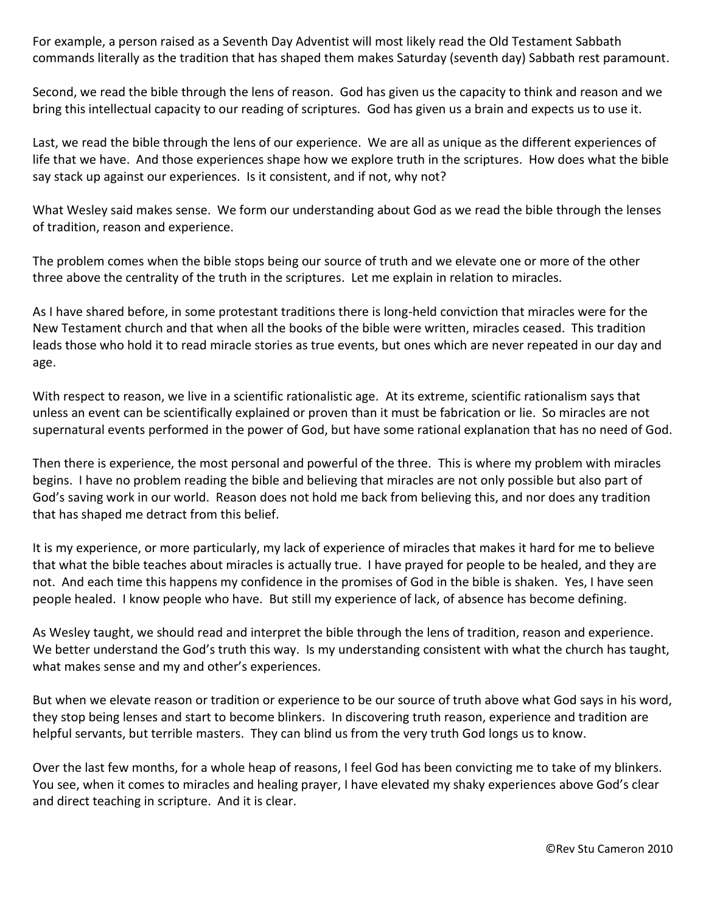For example, a person raised as a Seventh Day Adventist will most likely read the Old Testament Sabbath commands literally as the tradition that has shaped them makes Saturday (seventh day) Sabbath rest paramount.

Second, we read the bible through the lens of reason. God has given us the capacity to think and reason and we bring this intellectual capacity to our reading of scriptures. God has given us a brain and expects us to use it.

Last, we read the bible through the lens of our experience. We are all as unique as the different experiences of life that we have. And those experiences shape how we explore truth in the scriptures. How does what the bible say stack up against our experiences. Is it consistent, and if not, why not?

What Wesley said makes sense. We form our understanding about God as we read the bible through the lenses of tradition, reason and experience.

The problem comes when the bible stops being our source of truth and we elevate one or more of the other three above the centrality of the truth in the scriptures. Let me explain in relation to miracles.

As I have shared before, in some protestant traditions there is long-held conviction that miracles were for the New Testament church and that when all the books of the bible were written, miracles ceased. This tradition leads those who hold it to read miracle stories as true events, but ones which are never repeated in our day and age.

With respect to reason, we live in a scientific rationalistic age. At its extreme, scientific rationalism says that unless an event can be scientifically explained or proven than it must be fabrication or lie. So miracles are not supernatural events performed in the power of God, but have some rational explanation that has no need of God.

Then there is experience, the most personal and powerful of the three. This is where my problem with miracles begins. I have no problem reading the bible and believing that miracles are not only possible but also part of God's saving work in our world. Reason does not hold me back from believing this, and nor does any tradition that has shaped me detract from this belief.

It is my experience, or more particularly, my lack of experience of miracles that makes it hard for me to believe that what the bible teaches about miracles is actually true. I have prayed for people to be healed, and they are not. And each time this happens my confidence in the promises of God in the bible is shaken. Yes, I have seen people healed. I know people who have. But still my experience of lack, of absence has become defining.

As Wesley taught, we should read and interpret the bible through the lens of tradition, reason and experience. We better understand the God's truth this way. Is my understanding consistent with what the church has taught, what makes sense and my and other's experiences.

But when we elevate reason or tradition or experience to be our source of truth above what God says in his word, they stop being lenses and start to become blinkers. In discovering truth reason, experience and tradition are helpful servants, but terrible masters. They can blind us from the very truth God longs us to know.

Over the last few months, for a whole heap of reasons, I feel God has been convicting me to take of my blinkers. You see, when it comes to miracles and healing prayer, I have elevated my shaky experiences above God's clear and direct teaching in scripture. And it is clear.